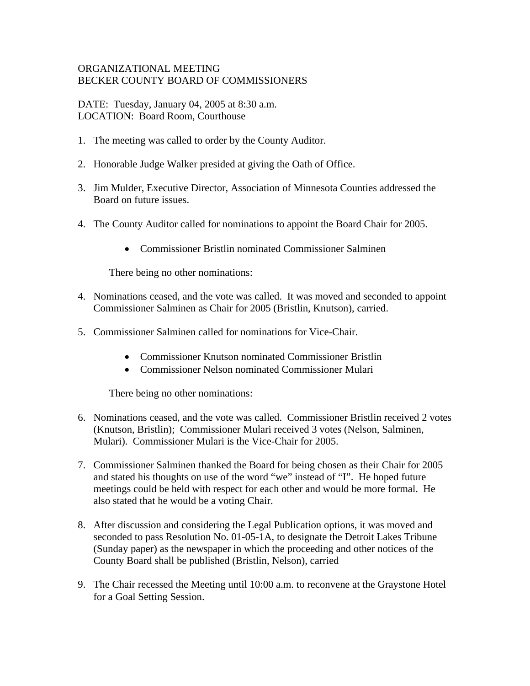## ORGANIZATIONAL MEETING BECKER COUNTY BOARD OF COMMISSIONERS

DATE: Tuesday, January 04, 2005 at 8:30 a.m. LOCATION: Board Room, Courthouse

- 1. The meeting was called to order by the County Auditor.
- 2. Honorable Judge Walker presided at giving the Oath of Office.
- 3. Jim Mulder, Executive Director, Association of Minnesota Counties addressed the Board on future issues.
- 4. The County Auditor called for nominations to appoint the Board Chair for 2005.
	- Commissioner Bristlin nominated Commissioner Salminen

There being no other nominations:

- 4. Nominations ceased, and the vote was called. It was moved and seconded to appoint Commissioner Salminen as Chair for 2005 (Bristlin, Knutson), carried.
- 5. Commissioner Salminen called for nominations for Vice-Chair.
	- Commissioner Knutson nominated Commissioner Bristlin
	- Commissioner Nelson nominated Commissioner Mulari

There being no other nominations:

- 6. Nominations ceased, and the vote was called. Commissioner Bristlin received 2 votes (Knutson, Bristlin); Commissioner Mulari received 3 votes (Nelson, Salminen, Mulari). Commissioner Mulari is the Vice-Chair for 2005.
- 7. Commissioner Salminen thanked the Board for being chosen as their Chair for 2005 and stated his thoughts on use of the word "we" instead of "I". He hoped future meetings could be held with respect for each other and would be more formal. He also stated that he would be a voting Chair.
- 8. After discussion and considering the Legal Publication options, it was moved and seconded to pass Resolution No. 01-05-1A, to designate the Detroit Lakes Tribune (Sunday paper) as the newspaper in which the proceeding and other notices of the County Board shall be published (Bristlin, Nelson), carried
- 9. The Chair recessed the Meeting until 10:00 a.m. to reconvene at the Graystone Hotel for a Goal Setting Session.